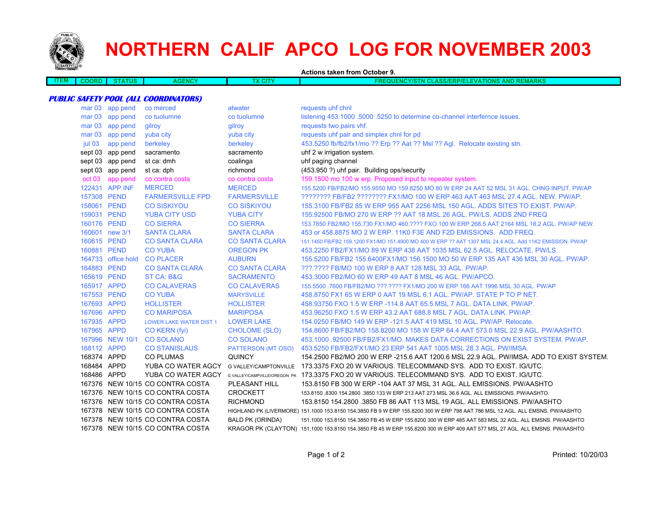

# **NORTHERN CALIF APCO LOG FOR NOVEMBER 2003**

**Actions taken from October 9.ITEM COORD STATUS AGENCY TX CITY FREQUENCY/STN CLASS/ERP/ELEVATIONS AND REMARKS PUBLIC SAFETY POOL (ALL COORDINATORS)** mar 03 app pend co merced atwater atwater requests uhf chnl mar 03 app pend co tuolumne co tuolumne co tuolumne listening 453.1000 .5000 .5250 to determine co-channel interfernce issues. mar 03 app pend gilroy gilroy gilroy gilroy requests two pairs vhf. mar 03 app pend yuba city yuba city yuba city requests uhf pair and simplex chnl for pd jul 03 app pend berkeley berkeley 453.5250 fb/fb2/fx1/mo ?? Erp ?? Aat ?? Msl ?? Agl. Relocate existing stn. sept 03 app pend sacramento sacramento sacramento uhf 2 w irrigation system. sept 03 app pend st ca: dmh coalinga uhf paging channel sept 03 app pend st ca: dph richmond (453.950 ?) uhf pair. Building ops/security oct 03 app pend co contra costa co contra costa 159.1500 mo 100 w erp. Proposed input to repeater system. 122431 APP INF MERCED MERCED 155.5200 FB/FB2/MO 155.9550 MO 159.8250 MO 80 W ERP 24 AAT 52 MSL 31 AGL. CHNG INPUT. PW/AP 157308 PEND FARMERSVILLE FPD FARMERSVILLE ???????? FB/FB2 ???????? FX1/MO 100 W ERP 463 AAT 463 MSL 27.4 AGL. NEW. PW/AP. 158061 PEND CO SISKIYOU CO SISKIYOU 155.3100 FB/FB2 85 W ERP 955 AAT 2256 MSL 150 AGL. ADDS SITES TO EXIST. PW/AP.159031 PEND YUBA CITY USD YUBA CITY 155.92500 FB/MO 270 W ERP ?? AAT 18 MSL 26 AGL. PW/LS. ADDS 2ND FREQ160176 PEND CO SIERRA CO SIERRA 153.7850 FB2/MO 155.730 FX1/MO 460.???? FXO 100 W ERP 268.5 AAT 2164 MSL 18.2 AGL. PW/AP NEW. 160601 new 3/1 SANTA CLARA SANTA CLARA 453 or 458.8875 MO 2 W ERP. 11K0 F3E AND F2D EMISSIONS. ADD FREQ. 160615 PEND CO SANTA CLARA CO SANTA CLARA 151.1450 FB/FB2 159.1200 FX1/MO 151.4900 MO 400 W ERP ?? AAT 1307 MSL 24.4 AGL. Add 11K2 EMISSION. PW/AP 160881 PEND CO YUBA OREGON PK 453.2250 FB2/FX1/MO 89 W ERP 438 AAT 1035 MSL 62.5 AGL. RELOCATE. PW/LS.164733 office hold CO PLACER AUBURN 155.5200 FB/FB2 155.6400FX1/MO 156.1500 MO 50 W ERP 135 AAT 436 MSL 30 AGL. PW/AP. 164883 PEND CO SANTA CLARA CO SANTA CLARA ???.???? FB/MO 100 W ERP 8 AAT 128 MSL 33 AGL. PW/AP.165619 PEND ST CA: B&G SACRAMENTO 453.3000 FB2/MO 60 W ERP 49 AAT 8 MSL 46 AGL. PW/APCO. 165917 APPD CO CALAVERAS CO CALAVERAS 155.5500 .7600 FB/FB2/MO ???.???? FX1/MO 200 W ERP 166 AAT 1996 MSL 30 AGL. PW/AP 167553 PEND CO YUBA MARYSVILLE 458.8750 FX1 65 W ERP 0 AAT 19 MSL 6.1 AGL. PW/AP. STATE P TO P NET. 167693 APPD HOLLISTER HOLLISTER 458.93750 FXO 1.5 W ERP -114.8 AAT 65.5 MSL 7 AGL. DATA LINK. PW/AP. 167696 APPD CO MARIPOSA MARIPOSA 453.96250 FXO 1.5 W ERP 43.2 AAT 688.8 MSL 7 AGL. DATA LINK. PW/AP. 167935 APPDLOWER LAKE WATER DIST 1 LOWER LAKE 154.0250 FB/MO 149 W ERP -121.5 AAT 419 MSL 10 AGL. PW/AP. Relocate. 167965 APPD CO KERN (fyi) CHOLOME (SLO) 154.8600 FB/FB2/MO 158.8200 MO 158 W ERP 64.4 AAT 573.0 MSL 22.9 AGL. PW/AASHTO. 167996 NEW 10/1 CO SOLANO CO SOLANO 453.1000 .92500 FB/FB2/FX1/MO. MAKES DATA CORRECTIONS ON EXIST SYSTEM. PW/AP. 168112 APPD CO STANISLAUS PATTERSON (MT OSO) 453.5250 FB/FB2/FX1/MO 23 ERP 541 AAT 1005 MSL 28.3 AGL. PW/IMSA. 168374 APPD CO PLUMAS QUINCY 154.2500 FB2/MO 200 W ERP -215.6 AAT 1200.6 MSL 22.9 AGL. PW/IMSA. ADD TO EXIST SYSTEM. 168484 APPD YUBA CO WATER AGCY G VALLEY/CAMPTONVILLE 173.3375 FXO 20 W VARIOUS. TELECOMMAND SYS. ADD TO EXIST. IG/UTC. 168486 APPD YUBA CO WATER AGCY G VALLEY/CAMPVILLE/OREGON PK 173.3375 FXO 20 W VARIOUS. TELECOMMAND SYS. ADD TO EXIST. IG/UTC. 167376 NEW 10/15 CO CONTRA COSTA PLEASANT HILL 153.8150 FB 300 W ERP -104 AAT 37 MSL 31 AGL. ALL EMISSIONS. PW/AASHTO167376 NEW 10/15 CO CONTRA COSTA CROCKETT 153.8150 .8300 154.2800 .3850 133 W ERP 213 AAT 273 MSL 36.6 AGL. ALL EMISSIONS. PW/AASHTO. 167376 NEW 10/15 CO CONTRA COSTA RICHMOND 153.8150 154.2800 .3850 FB 86 AAT 113 MSL 19 AGL. ALL EMISSIONS. PW/AASHTO167378 NEW 10/15 CO CONTRA COSTA HIGHLAND PK (LIVERMORE) 151.1000 153.8150 154.3850 FB 9 W ERP 155.8200 300 W ERP 798 AAT 786 MSL 12 AGL. ALL EMSNS. PW/AASHTO 167378 NEW 10/15 CO CONTRA COSTA BALD PK (ORINDA) 151.1000 153.8150 154.3850 FB 45 W ERP 155.8200 300 W ERP 485 AAT 583 MSL 32 AGL. ALL EMSNS. PW/AASHTO 167378 NEW 10/15 CO CONTRA COSTAKRAGOR PK (CLAYTON) 151.1000 153.8150 154.3850 FB 45 W ERP 155.8200 300 W ERP 409 AAT 577 MSL 27 AGL. ALL EMSNS. PW/AASHTO